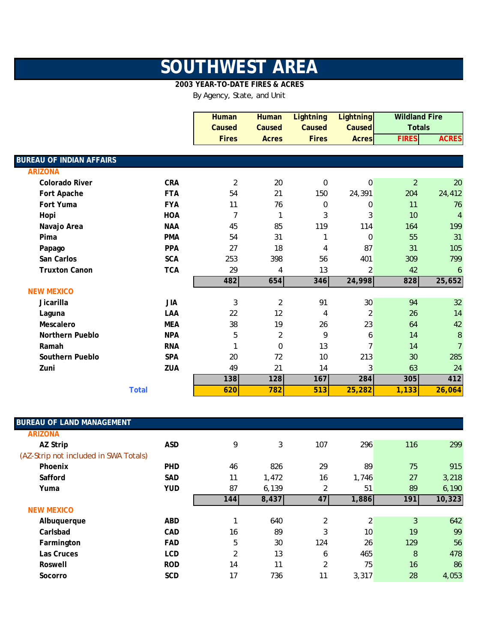## **SOUTHWEST AREA**

## **2003 YEAR-TO-DATE FIRES & ACRES**

By Agency, State, and Unit

|                                 |              | <b>Human</b>   | <b>Human</b>   | <b>Lightning</b> | <b>Lightning</b> | <b>Wildland Fire</b> |                |
|---------------------------------|--------------|----------------|----------------|------------------|------------------|----------------------|----------------|
|                                 |              | Caused         | Caused         | Caused           | <b>Caused</b>    | <b>Totals</b>        |                |
|                                 |              | <b>Fires</b>   | <b>Acres</b>   | <b>Fires</b>     | <b>Acres</b>     | <b>FIRES</b>         | <b>ACRES</b>   |
|                                 |              |                |                |                  |                  |                      |                |
| <b>BUREAU OF INDIAN AFFAIRS</b> |              |                |                |                  |                  |                      |                |
| <b>ARIZONA</b>                  |              |                |                |                  |                  |                      |                |
| <b>Colorado River</b>           | <b>CRA</b>   | $\overline{2}$ | 20             | $\Omega$         | $\boldsymbol{0}$ | $\overline{2}$       | 20             |
| Fort Apache                     | <b>FTA</b>   | 54             | 21             | 150              | 24,391           | 204                  | 24,412         |
| Fort Yuma                       | <b>FYA</b>   | 11             | 76             | 0                | 0                | 11                   | 76             |
| Hopi                            | <b>HOA</b>   | $\overline{7}$ | $\mathbf{1}$   | 3                | 3                | 10                   | $\overline{4}$ |
| Navajo Area                     | <b>NAA</b>   | 45             | 85             | 119              | 114              | 164                  | 199            |
| Pima                            | <b>PMA</b>   | 54             | 31             | 1                | 0                | 55                   | 31             |
| Papago                          | PPA          | 27             | 18             | 4                | 87               | 31                   | 105            |
| San Carlos                      | <b>SCA</b>   | 253            | 398            | 56               | 401              | 309                  | 799            |
| <b>Truxton Canon</b>            | <b>TCA</b>   | 29             | 4              | 13               | $\overline{2}$   | 42                   | 6              |
|                                 |              | 482            | 654            | 346              | 24,998           | 828                  | 25,652         |
| <b>NEW MEXICO</b>               |              |                |                |                  |                  |                      |                |
| Jicarilla                       | <b>JIA</b>   | 3              | $\overline{2}$ | 91               | 30               | 94                   | 32             |
| Laguna                          | LAA          | 22             | 12             | 4                | $\overline{c}$   | 26                   | 14             |
| Mescalero                       | <b>MEA</b>   | 38             | 19             | 26               | 23               | 64                   | 42             |
| <b>Northern Pueblo</b>          | <b>NPA</b>   | 5              | $\overline{2}$ | 9                | 6                | 14                   | $\, 8$         |
| Ramah                           | <b>RNA</b>   |                | $\mathbf 0$    | 13               | $\overline{7}$   | 14                   | $\overline{7}$ |
| Southern Pueblo                 | SPA          | 20             | 72             | 10               | 213              | 30                   | 285            |
| Zuni                            | ZUA          | 49             | 21             | 14               | 3                | 63                   | 24             |
|                                 |              | 138            | 128            | 167              | 284              | 305                  | 412            |
|                                 | <b>Total</b> | 620            | 782            | 513              | 25,282           | 1,133                | 26,064         |

| <b>BUREAU OF LAND MANAGEMENT</b>      |            |                |       |                |       |     |        |
|---------------------------------------|------------|----------------|-------|----------------|-------|-----|--------|
| <b>ARIZONA</b>                        |            |                |       |                |       |     |        |
| AZ Strip                              | <b>ASD</b> | 9              | 3     | 107            | 296   | 116 | 299    |
| (AZ-Strip not included in SWA Totals) |            |                |       |                |       |     |        |
| Phoenix                               | <b>PHD</b> | 46             | 826   | 29             | 89    | 75  | 915    |
| Safford                               | <b>SAD</b> | 11             | 1,472 | 16             | 1,746 | 27  | 3,218  |
| Yuma                                  | <b>YUD</b> | 87             | 6,139 | 2              | 51    | 89  | 6,190  |
|                                       |            | 144            | 8,437 | 47             | 1,886 | 191 | 10,323 |
| <b>NEW MEXICO</b>                     |            |                |       |                |       |     |        |
| Albuquerque                           | <b>ABD</b> |                | 640   | 2              | 2     | 3   | 642    |
| Carlsbad                              | CAD        | 16             | 89    | 3              | 10    | 19  | 99     |
| Farmington                            | <b>FAD</b> | 5              | 30    | 124            | 26    | 129 | 56     |
| Las Cruces                            | <b>LCD</b> | $\overline{2}$ | 13    | 6              | 465   | 8   | 478    |
| Roswell                               | <b>ROD</b> | 14             | 11    | $\overline{2}$ | 75    | 16  | 86     |
| Socorro                               | <b>SCD</b> | 17             | 736   | 11             | 3,317 | 28  | 4,053  |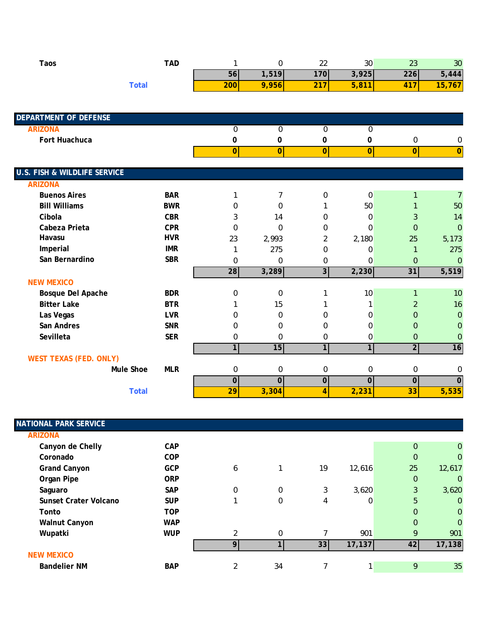| <b>Taos</b>                             | <b>TAD</b>   | $\mathbf{1}$     | 0                       | 22             | 30               | 23               | 30              |
|-----------------------------------------|--------------|------------------|-------------------------|----------------|------------------|------------------|-----------------|
|                                         |              | 56               | 1,519                   | 170            | 3,925            | 226              | 5,444           |
|                                         | <b>Total</b> | 200              | 9,956                   | 217            | 5,811            | 417              | 15,767          |
|                                         |              |                  |                         |                |                  |                  |                 |
| <b>DEPARTMENT OF DEFENSE</b>            |              |                  |                         |                |                  |                  |                 |
| <b>ARIZONA</b>                          |              | $\mathbf 0$      | 0                       | $\mathbf 0$    | 0                |                  |                 |
| Fort Huachuca                           |              | 0                | 0                       | $\pmb{0}$      | 0                | $\boldsymbol{0}$ | 0               |
|                                         |              | $\overline{0}$   | 0                       | $\overline{0}$ | 0                | 0                | $\overline{0}$  |
| <b>U.S. FISH &amp; WILDLIFE SERVICE</b> |              |                  |                         |                |                  |                  |                 |
| <b>ARIZONA</b>                          |              |                  |                         |                |                  |                  |                 |
| <b>Buenos Aires</b>                     | <b>BAR</b>   | 1                | 7                       | 0              | $\boldsymbol{0}$ | $\mathbf{1}$     | $\overline{7}$  |
| <b>Bill Williams</b>                    | <b>BWR</b>   | 0                | 0                       | 1              | 50               |                  | 50              |
| Cibola                                  | <b>CBR</b>   | 3                | 14                      | 0              | 0                | 3                | 14              |
| Cabeza Prieta                           | <b>CPR</b>   | 0                | 0                       | 0              | $\Omega$         | $\mathbf{0}$     | $\overline{0}$  |
| Havasu                                  | <b>HVR</b>   | 23               | 2,993                   | $\overline{2}$ | 2,180            | 25               | 5,173           |
| Imperial                                | <b>IMR</b>   | 1                | 275                     | 0              | 0                | $\mathbf{1}$     | 275             |
| San Bernardino                          | <b>SBR</b>   | 0                | 0                       | 0              | 0                | $\overline{0}$   | $\overline{0}$  |
|                                         |              | 28               | 3,289                   | $\overline{3}$ | 2,230            | 31               | 5,519           |
| <b>NEW MEXICO</b>                       |              |                  |                         |                |                  |                  |                 |
| Bosque Del Apache                       | <b>BDR</b>   | $\mathbf 0$      | $\boldsymbol{0}$        | 1              | 10               | $\mathbf{1}$     | 10              |
| <b>Bitter Lake</b>                      | <b>BTR</b>   |                  | 15                      | 1              | 1                | $\overline{2}$   | 16              |
| Las Vegas                               | <b>LVR</b>   | 0                | 0                       | 0              | 0                | $\overline{0}$   | $\mathbf{0}$    |
| San Andres                              | <b>SNR</b>   | 0                | 0                       | 0              | 0                | 0                | $\mathbf 0$     |
| Sevilleta                               | <b>SER</b>   | $\boldsymbol{0}$ | $\mathbf 0$             | 0              | $\boldsymbol{0}$ | $\mathbf 0$      | $\mathbf{0}$    |
|                                         |              | $\overline{1}$   | 15                      | 1              | 1                | $\overline{2}$   | $\overline{16}$ |
| <b>WEST TEXAS (FED. ONLY)</b>           |              |                  |                         |                |                  |                  |                 |
| Mule Shoe                               | <b>MLR</b>   | 0                | 0                       | 0              | $\boldsymbol{0}$ | $\boldsymbol{0}$ | 0               |
|                                         |              | $\overline{0}$   | $\overline{\mathbf{0}}$ | $\pmb{0}$      | $\overline{0}$   | $\mathbf 0$      | $\overline{0}$  |
|                                         | <b>Total</b> | $\overline{29}$  | 3,304                   | $\overline{4}$ | 2,231            | 33               | 5,535           |

| NATIONAL PARK SERVICE |            |                |          |    |          |                |              |
|-----------------------|------------|----------------|----------|----|----------|----------------|--------------|
| <b>ARIZONA</b>        |            |                |          |    |          |                |              |
| Canyon de Chelly      | <b>CAP</b> |                |          |    |          | $\overline{0}$ | $\mathbf{0}$ |
| Coronado              | <b>COP</b> |                |          |    |          | $\mathbf 0$    | $\Omega$     |
| <b>Grand Canyon</b>   | <b>GCP</b> | 6              |          | 19 | 12,616   | 25             | 12,617       |
| Organ Pipe            | <b>ORP</b> |                |          |    |          | $\mathbf 0$    | $\Omega$     |
| Saguaro               | <b>SAP</b> | 0              | 0        | 3  | 3,620    | 3              | 3,620        |
| Sunset Crater Volcano | <b>SUP</b> | 1              | 0        | 4  | $\Omega$ | 5              | $\mathbf{0}$ |
| Tonto                 | <b>TOP</b> |                |          |    |          | $\overline{0}$ | $\mathbf{0}$ |
| <b>Walnut Canyon</b>  | <b>WAP</b> |                |          |    |          | $\overline{0}$ | $\mathbf{0}$ |
| Wupatki               | <b>WUP</b> | $\overline{2}$ | $\Omega$ |    | 901      | 9              | 901          |
|                       |            | <b>Q</b>       |          | 33 | 17,137   | 42             | 17,138       |
| <b>NEW MEXICO</b>     |            |                |          |    |          |                |              |
| <b>Bandelier NM</b>   | <b>BAP</b> | 2              | 34       |    |          | 9              | 35           |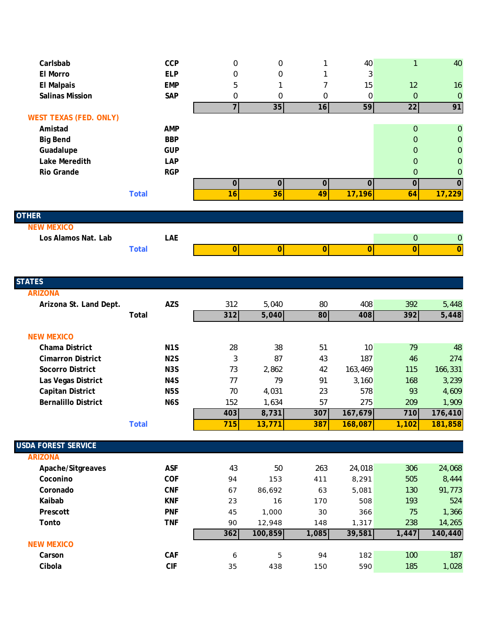| Carlsbab                            |              |                  |                |             |             |                |                  |                             |
|-------------------------------------|--------------|------------------|----------------|-------------|-------------|----------------|------------------|-----------------------------|
|                                     |              | CCP              | 0              | 0           | 1           | 40             | $\mathbf{1}$     | 40                          |
| El Morro                            |              | <b>ELP</b>       | 0              | 0           | 1           | 3              |                  |                             |
| <b>El Malpais</b>                   |              | <b>EMP</b>       | 5              | 1           | 7           | 15             | 12               | 16                          |
| <b>Salinas Mission</b>              |              | SAP              | 0              | 0           | $\mathbf 0$ | 0              | $\boldsymbol{0}$ | $\boldsymbol{0}$            |
|                                     |              |                  | $\overline{7}$ | 35          | 16          | 59             | 22               | 91                          |
| <b>WEST TEXAS (FED. ONLY)</b>       |              |                  |                |             |             |                |                  |                             |
| Amistad                             |              | <b>AMP</b>       |                |             |             |                | $\mathbf 0$      | $\pmb{0}$                   |
| <b>Big Bend</b>                     |              | <b>BBP</b>       |                |             |             |                | $\mathbf 0$      | $\boldsymbol{0}$            |
| Guadalupe                           |              | <b>GUP</b>       |                |             |             |                | $\mathbf 0$      | $\boldsymbol{0}$            |
| Lake Meredith                       |              | LAP              |                |             |             |                | $\mathbf 0$      | $\boldsymbol{0}$            |
| Rio Grande                          |              | <b>RGP</b>       |                |             |             |                | $\mathbf 0$      | $\pmb{0}$                   |
|                                     |              |                  | $\pmb{0}$      | $\mathbf 0$ | $\mathbf 0$ | $\overline{0}$ | $\mathbf 0$      | $\overline{0}$              |
|                                     | <b>Total</b> |                  | 16             | 36          | 49          | 17,196         | 64               | 17,229                      |
|                                     |              |                  |                |             |             |                |                  |                             |
| <b>OTHER</b><br><b>NEW MEXICO</b>   |              |                  |                |             |             |                |                  |                             |
| Los Alamos Nat. Lab                 |              | LAE              |                |             |             |                | $\boldsymbol{0}$ |                             |
|                                     | <b>Total</b> |                  | 0              | 0           | 0           | 0              | $\overline{0}$   | $\pmb{0}$<br>$\overline{0}$ |
|                                     |              |                  |                |             |             |                |                  |                             |
|                                     |              |                  |                |             |             |                |                  |                             |
| <b>STATES</b>                       |              |                  |                |             |             |                |                  |                             |
| <b>ARIZONA</b>                      |              |                  |                |             |             |                |                  |                             |
| Arizona St. Land Dept.              |              | <b>AZS</b>       | 312            | 5,040       | 80          | 408            | 392              | 5,448                       |
|                                     | Total        |                  | 312            | 5,040       | 80          | 408            | 392              | 5,448                       |
|                                     |              |                  |                |             |             |                |                  |                             |
|                                     |              |                  |                |             |             |                |                  |                             |
| <b>NEW MEXICO</b>                   |              |                  |                |             |             |                |                  |                             |
| Chama District                      |              | N <sub>1</sub> S | 28             | 38          | 51          | 10             | 79               | 48                          |
| <b>Cimarron District</b>            |              | N <sub>2</sub> S | 3              | 87          | 43          | 187            | 46               | 274                         |
| <b>Socorro District</b>             |              | N <sub>3</sub> S | 73             | 2,862       | 42          | 163,469        | 115              | 166,331                     |
| Las Vegas District                  |              | N4S              | 77             | 79          | 91          | 3,160          | 168              | 3,239                       |
| <b>Capitan District</b>             |              | N <sub>5</sub> S | 70             | 4,031       | 23          | 578            | 93               | 4,609                       |
| <b>Bernalillo District</b>          |              | N6S              | 152            | 1,634       | 57          | 275            | 209              | 1,909                       |
|                                     |              |                  | 403            | 8,731       | 307         | 167,679        | 710              | 176,410                     |
|                                     | <b>Total</b> |                  | 715            | 13,771      | 387         | 168,087        | 1,102            | 181,858                     |
|                                     |              |                  |                |             |             |                |                  |                             |
| <b>USDA FOREST SERVICE</b>          |              |                  |                |             |             |                |                  |                             |
| <b>ARIZONA</b><br>Apache/Sitgreaves |              | <b>ASF</b>       | 43             | 50          | 263         | 24,018         | 306              | 24,068                      |

| Coconino          | <b>COF</b> | 94  | 153     | 411   | 8,291  | 505   | 8,444   |
|-------------------|------------|-----|---------|-------|--------|-------|---------|
| Coronado          | <b>CNF</b> | 67  | 86,692  | 63    | 5,081  | 130   | 91,773  |
| Kaibab            | <b>KNF</b> | 23  | 16      | 170   | 508    | 193   | 524     |
| Prescott          | <b>PNF</b> | 45  | 1,000   | 30    | 366    | 75    | 1,366   |
| Tonto             | <b>TNF</b> | 90  | 12,948  | 148   | 1,317  | 238   | 14,265  |
|                   |            | 362 | 100,859 | 1,085 | 39,581 | 1,447 | 140,440 |
| <b>NEW MEXICO</b> |            |     |         |       |        |       |         |
| Carson            | CAF        | 6   | 5       | 94    | 182    | 100   | 187     |
| Cibola            | CIF        | 35  | 438     | 150   | 590    | 185   | 1,028   |